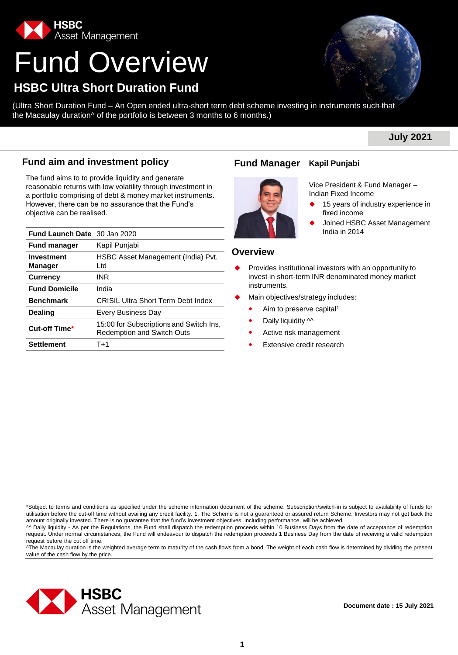

# Fund Overview

# **HSBC Ultra Short Duration Fund**

(Ultra Short Duration Fund – An Open ended ultra-short term debt scheme investing in instruments such that the Macaulay duration^ of the portfolio is between 3 months to 6 months.)

# **July 2021**

# **Fund aim and investment policy Fund Manager**

The fund aims to to provide liquidity and generate reasonable returns with low volatility through investment in a portfolio comprising of debt & money market instruments. However, there can be no assurance that the Fund's objective can be realised.

| <b>Fund Launch Date</b> 30 Jan 2020 |                                                                              |                 |                                             | India in 2014                           |
|-------------------------------------|------------------------------------------------------------------------------|-----------------|---------------------------------------------|-----------------------------------------|
| <b>Fund manager</b>                 | Kapil Punjabi                                                                |                 |                                             |                                         |
| <b>Investment</b><br><b>Manager</b> | HSBC Asset Management (India) Pvt.<br>Ltd                                    | <b>Overview</b> |                                             | Provides institutional investors with a |
| <b>Currency</b>                     | INR                                                                          |                 |                                             | invest in short-term INR denominate     |
| <b>Fund Domicile</b>                | India                                                                        |                 | instruments.                                |                                         |
| <b>Benchmark</b>                    | <b>CRISIL Ultra Short Term Debt Index</b>                                    |                 |                                             | Main objectives/strategy includes:      |
| <b>Dealing</b>                      | Every Business Day                                                           | ۰               | Aim to preserve capital <sup>1</sup>        |                                         |
| Cut-off Time*                       | 15:00 for Subscriptions and Switch Ins,<br><b>Redemption and Switch Outs</b> | ٠<br>٠          | Daily liquidity M<br>Active risk management |                                         |
| <b>Settlement</b>                   | $T+1$                                                                        | ٠               | Extensive credit research                   |                                         |

### **Kapil Punjabi**



Vice President & Fund Manager – Indian Fixed Income

- 15 years of industry experience in fixed income
- Joined HSBC Asset Management

#### **Overview**

- Provides institutional investors with an opportunity to invest in short-term INR denominated money market instruments.
- Main objectives/strategy includes:
	- Aim to preserve capital<sup>1</sup>
	- Daily liquidity  $\sim$
	- Active risk management
	- Extensive credit research

\*Subject to terms and conditions as specified under the scheme information document of the scheme. Subscription/switch-in is subject to availability of funds for utilisation before the cut-off time without availing any credit facility. 1. The Scheme is not a guaranteed or assured return Scheme. Investors may not get back the amount originally invested. There is no guarantee that the fund's investment objectives, including performance, will be achieved,

^^ Daily liquidity - As per the Regulations, the Fund shall dispatch the redemption proceeds within 10 Business Days from the date of acceptance of redemption request. Under normal circumstances, the Fund will endeavour to dispatch the redemption proceeds 1 Business Day from the date of receiving a valid redemption request before the cut off time.

^The Macaulay duration is the weighted average term to maturity of the cash flows from a bond. The weight of each cash flow is determined by dividing the present value of the cash flow by the price.

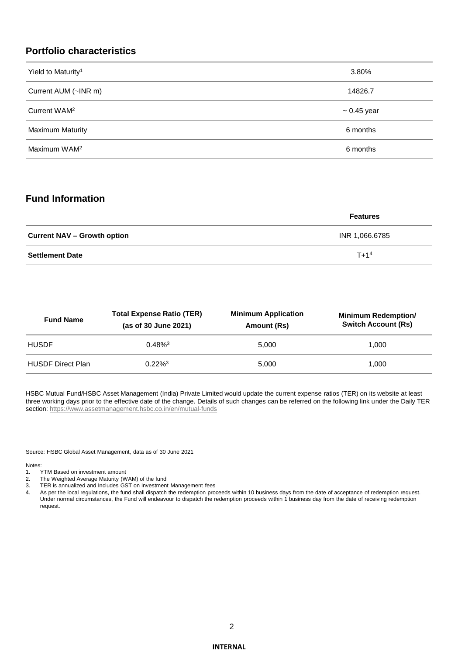# **Portfolio characteristics**

| Yield to Maturity <sup>1</sup> | 3.80%            |
|--------------------------------|------------------|
| Current AUM (~INR m)           | 14826.7          |
| Current WAM <sup>2</sup>       | $\sim 0.45$ year |
| <b>Maximum Maturity</b>        | 6 months         |
| Maximum WAM <sup>2</sup>       | 6 months         |

# **Fund Information**

|                                    | <b>Features</b> |
|------------------------------------|-----------------|
| <b>Current NAV – Growth option</b> | INR 1,066.6785  |
| <b>Settlement Date</b>             | $T + 14$        |

| <b>Fund Name</b>         | <b>Total Expense Ratio (TER)</b><br>(as of 30 June 2021) | <b>Minimum Application</b><br>Amount (Rs) | <b>Minimum Redemption/</b><br><b>Switch Account (Rs)</b> |
|--------------------------|----------------------------------------------------------|-------------------------------------------|----------------------------------------------------------|
| <b>HUSDF</b>             | $0.48\%$ <sup>3</sup>                                    | 5.000                                     | 1.000                                                    |
| <b>HUSDF Direct Plan</b> | $0.22\%$ <sup>3</sup>                                    | 5.000                                     | 1.000                                                    |

HSBC Mutual Fund/HSBC Asset Management (India) Private Limited would update the current expense ratios (TER) on its website at least three working days prior to the effective date of the change. Details of such changes can be referred on the following link under the Daily TER section:<https://www.assetmanagement.hsbc.co.in/en/mutual-funds>

Source: HSBC Global Asset Management, data as of 30 June 2021

Notes:<br>1.

- TYTM Based on investment amount
- 2. The Weighted Average Maturity (WAM) of the fund
- 3. TER is annualized and Includes GST on Investment Management fees
- 4. As per the local regulations, the fund shall dispatch the redemption proceeds within 10 business days from the date of acceptance of redemption request. Under normal circumstances, the Fund will endeavour to dispatch the redemption proceeds within 1 business day from the date of receiving redemption request.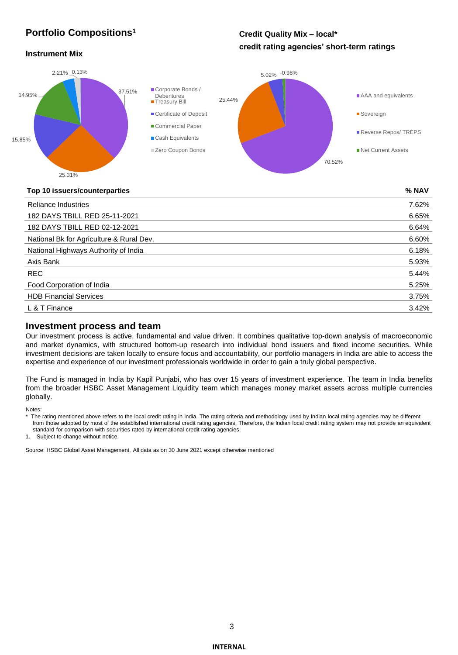# **Portfolio Compositions<sup>1</sup>**

# **Credit Quality Mix – local\* credit rating agencies' short-term ratings**

#### **Instrument Mix**



#### **Top 10 issuers/counterparties % NAV**

| <b>Reliance Industries</b>               | 7.62% |
|------------------------------------------|-------|
| 182 DAYS TBILL RED 25-11-2021            | 6.65% |
| 182 DAYS TBILL RED 02-12-2021            | 6.64% |
| National Bk for Agriculture & Rural Dev. | 6.60% |
| National Highways Authority of India     | 6.18% |
| Axis Bank                                | 5.93% |
| REC                                      | 5.44% |
| Food Corporation of India                | 5.25% |
| <b>HDB Financial Services</b>            | 3.75% |
| L & T Finance                            | 3.42% |

#### **Investment process and team**

Our investment process is active, fundamental and value driven. It combines qualitative top-down analysis of macroeconomic and market dynamics, with structured bottom-up research into individual bond issuers and fixed income securities. While investment decisions are taken locally to ensure focus and accountability, our portfolio managers in India are able to access the expertise and experience of our investment professionals worldwide in order to gain a truly global perspective.

The Fund is managed in India by Kapil Punjabi, who has over 15 years of investment experience. The team in India benefits from the broader HSBC Asset Management Liquidity team which manages money market assets across multiple currencies globally.

Notes:

\* The rating mentioned above refers to the local credit rating in India. The rating criteria and methodology used by Indian local rating agencies may be different from those adopted by most of the established international credit rating agencies. Therefore, the Indian local credit rating system may not provide an equivalent

standard for comparison with securities rated by international credit rating agencies.

1. Subject to change without notice.

Source: HSBC Global Asset Management, All data as on 30 June 2021 except otherwise mentioned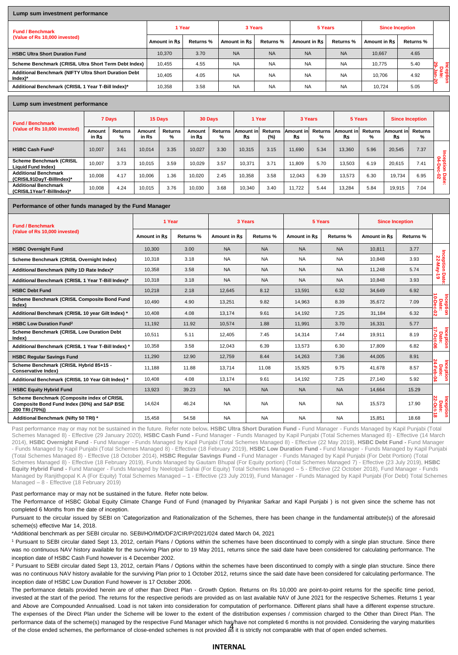#### **Lump sum investment performance**

| <b>Fund / Benchmark</b>                                                       | 1 Year       |           | 3 Years      |                  | 5 Years      |                  | <b>Since Inception</b> |                  |                      |  |  |
|-------------------------------------------------------------------------------|--------------|-----------|--------------|------------------|--------------|------------------|------------------------|------------------|----------------------|--|--|
| (Value of Rs 10,000 invested)                                                 | Amount in Rs | Returns % | Amount in Rs | <b>Returns %</b> | Amount in Rs | <b>Returns %</b> | Amount in Rs           | <b>Returns %</b> |                      |  |  |
| <b>HSBC Ultra Short Duration Fund</b>                                         | 10.370       | 3.70      | <b>NA</b>    | <b>NA</b>        | <b>NA</b>    | <b>NA</b>        | 10.667                 | 4.65             |                      |  |  |
| Scheme Benchmark (CRISIL Ultra Short Term Debt Index)                         | 10,455       | 4.55      | <b>NA</b>    | <b>NA</b>        | <b>NA</b>    | <b>NA</b>        | 10.775                 | 5.40             |                      |  |  |
| Additional Benchmark (NIFTY Ultra Short Duration Debt<br>$Index$ <sup>*</sup> | 10.405       | 4.05      | <b>NA</b>    | <b>NA</b>        | <b>NA</b>    | <b>NA</b>        | 10.706                 | 4.92             | cepti<br>Date<br>Jan |  |  |
| Additional Benchmark (CRISIL 1 Year T-Bill Index)*                            | 10,358       | 3.58      | <b>NA</b>    | <b>NA</b>        | <b>NA</b>    | <b>NA</b>        | 10.724                 | 5.05             | 0                    |  |  |
|                                                                               |              |           |              |                  |              |                  |                        |                  |                      |  |  |

#### **Lump sum investment performance**

| <b>Fund / Benchmark</b><br>(Value of Rs 10,000 invested)     |                 | 15 Days<br>7 Days   |                 | 30 Days      |                 | 1 Year              |                  | 3 Years           |                        | 5 Years             |                         | <b>Since Inception</b> |                         |              |                 |
|--------------------------------------------------------------|-----------------|---------------------|-----------------|--------------|-----------------|---------------------|------------------|-------------------|------------------------|---------------------|-------------------------|------------------------|-------------------------|--------------|-----------------|
|                                                              | Amount<br>in Rs | <b>Returns</b><br>% | Amount<br>in Rs | Returns<br>% | Amount<br>in Rs | <b>Returns</b><br>% | Amount inl<br>Rs | Returns<br>$(\%)$ | Amount in<br><b>Rs</b> | <b>Returns</b><br>% | Amount inl<br><b>Rs</b> | Returns<br>$\%$        | <b>Amount inl</b><br>Rs | Returns<br>% |                 |
| <b>HSBC Cash Fund<sup>1</sup></b>                            | 10.007          | 3.61                | 10.014          | 3.35         | 10.027          | 3.30                | 10.315           | 3.15              | 11.690                 | 5.34                | 13.360                  | 5.96                   | 20.545                  | 7.37         |                 |
| <b>Scheme Benchmark (CRISIL</b><br><b>Liquid Fund Index)</b> | 10.007          | 3.73                | 10.015          | 3.59         | 10.029          | 3.57                | 10.371           | 3.71              | 11.809                 | 5.70                | 13.503                  | 6.19                   | 20.615                  | 7.41         | ႙<br>0<br>흡출    |
| <b>Additional Benchmark</b><br>(CRISIL91DavT-BillIndex)*     | 10.008          | 4.17                | 10.006          | 1.36         | 10.020          | 2.45                | 10.358           | 3.58              | 12.043                 | 6.39                | 13.573                  | 6.30                   | 19.734                  | 6.95         | <b>92</b><br>థే |
| <b>Additional Benchmark</b><br>(CRISIL1YearT-BillIndex)*     | 10,008          | 4.24                | 10.015          | 3.76         | 10.030          | 3.68                | 10.340           | 3.40              | 11.722                 | 5.44                | 13.284                  | 5.84                   | 19,915                  | 7.04         |                 |

#### **Performance of other funds managed by the Fund Manager**

| <b>Fund / Benchmark</b>                                                                                      | 1 Year              |                  | 3 Years              |                  | 5 Years             |           | <b>Since Inception</b> |           |                                        |
|--------------------------------------------------------------------------------------------------------------|---------------------|------------------|----------------------|------------------|---------------------|-----------|------------------------|-----------|----------------------------------------|
| (Value of Rs 10,000 invested)                                                                                | <b>Amount in Rs</b> | <b>Returns %</b> | <b>Amount in Rs.</b> | <b>Returns %</b> | <b>Amount in Rs</b> | Returns % | Amount in Rs           | Returns % |                                        |
| <b>HSBC Overnight Fund</b>                                                                                   | 10,300              | 3.00             | <b>NA</b>            | <b>NA</b>        | <b>NA</b>           | <b>NA</b> | 10.811                 | 3.77      |                                        |
| Scheme Benchmark (CRISIL Overnight Index)                                                                    | 10,318              | 3.18             | <b>NA</b>            | <b>NA</b>        | <b>NA</b>           | <b>NA</b> | 10.848                 | 3.93      | Inception Date:<br>22-May-19           |
| Additional Benchmark (Nifty 1D Rate Index)*                                                                  | 10,358              | 3.58             | <b>NA</b>            | <b>NA</b>        | <b>NA</b>           | <b>NA</b> | 11.248                 | 5.74      |                                        |
| Additional Benchmark (CRISIL 1 Year T-Bill Index)*                                                           | 10.318              | 3.18             | <b>NA</b>            | <b>NA</b>        | <b>NA</b>           | <b>NA</b> | 10.848                 | 3.93      |                                        |
| <b>HSBC Debt Fund</b>                                                                                        | 10,218              | 2.18             | 12,645               | 8.12             | 13,591              | 6.32      | 34,649                 | 6.92      |                                        |
| Scheme Benchmark (CRISIL Composite Bond Fund<br>Index)                                                       | 10,490              | 4.90             | 13,251               | 9.82             | 14,963              | 8.39      | 35,672                 | 7.09      | Inception<br>Date:<br><u>10-Dec-02</u> |
| Additional Benchmark (CRISIL 10 year Gilt Index) *                                                           | 10.408              | 4.08             | 13.174               | 9.61             | 14.192              | 7.25      | 31.184                 | 6.32      |                                        |
| <b>HSBC Low Duration Fund<sup>2</sup></b>                                                                    | 11.192              | 11.92            | 10,574               | 1.88             | 11.991              | 3.70      | 16,331                 | 5.77      |                                        |
| Scheme Benchmark (CRISIL Low Duration Debt<br>Index)                                                         | 10.511              | 5.11             | 12.405               | 7.45             | 14.314              | 7.44      | 19,911                 | 8.19      | Inception<br>Date:<br>17-Oct-06        |
| Additional Benchmark (CRISIL 1 Year T-Bill Index) *                                                          | 10,358              | 3.58             | 12,043               | 6.39             | 13,573              | 6.30      | 17.809                 | 6.82      |                                        |
| <b>HSBC Regular Savings Fund</b>                                                                             | 11,290              | 12.90            | 12,759               | 8.44             | 14,263              | 7.36      | 44,005                 | 8.91      |                                        |
| Scheme Benchmark (CRISIL Hybrid 85+15 -<br><b>Conservative Index)</b>                                        | 11.188              | 11.88            | 13.714               | 11.08            | 15.925              | 9.75      | 41.678                 | 8.57      | Inception<br>Date:<br>24-Feb-04        |
| Additional Benchmark (CRISIL 10 Year Gilt Index) *                                                           | 10,408              | 4.08             | 13,174               | 9.61             | 14.192              | 7.25      | 27,140                 | 5.92      |                                        |
| <b>HSBC Equity Hybrid Fund</b>                                                                               | 13,923              | 39.23            | <b>NA</b>            | <b>NA</b>        | <b>NA</b>           | <b>NA</b> | 14,664                 | 15.29     |                                        |
| Scheme Benchmark (Composite index of CRISIL<br>Composite Bond Fund Index (30%) and S&P BSE<br>200 TRI (70%)) | 14.624              | 46.24            | <b>NA</b>            | <b>NA</b>        | <b>NA</b>           | <b>NA</b> | 15,573                 | 17.90     | Inception<br>Date:<br>22-Oct-18        |
| Additional Benchmark (Nifty 50 TRI) *                                                                        | 15,458              | 54.58            | <b>NA</b>            | <b>NA</b>        | <b>NA</b>           | <b>NA</b> | 15,851                 | 18.68     |                                        |

Past performance may or may not be sustained in the future. Refer note below, HSBC Ultra Short Duration Fund - Fund Manager - Funds Managed by Kapil Punjabi (Total Schemes Managed 8) - Effective (29 January 2020), **HSBC Cash Fund -** Fund Manager - Funds Managed by Kapil Punjabi (Total Schemes Managed 8) - Effective (14 March 2014), **HSBC Overnight Fund** - Fund Manager - Funds Managed by Kapil Punjabi (Total Schemes Managed 8) - Effective (22 May 2019), **HSBC Debt Fund -** Fund Manager - Funds Managed by Kapil Punjabi (Total Schemes Managed 8) - Effective (18 February 2019), **HSBC Low Duration Fund -** Fund Manager - Funds Managed by Kapil Punjabi (Total Schemes Managed 8) - Effective (18 October 2014), **HSBC Regular Savings Fund -** Fund Manager - Funds Managed by Kapil Punjabi (For Debt Portion) (Total Schemes Managed 8) - Effective (18 February 2019), Funds Managed by Gautam Bhupal (For Equity portion) (Total Schemes Managed 7) - Effective (23 July 2019), **HSBC Equity Hybrid Fund -** Fund Manager - Funds Managed by Neelotpal Sahai (For Equity) Total Schemes Managed – 5 - Effective (22 October 2018), Fund Manager - Funds Managed by Ranjithgopal K A (For Equity) Total Schemes Managed – 1 - Effective (23 July 2019), Fund Manager - Funds Managed by Kapil Punjabi (For Debt) Total Schemes Managed – 8 - Effective (18 February 2019)

Past performance may or may not be sustained in the future. Refer note below.

The Performance of HSBC Global Equity Climate Change Fund of Fund (managed by Priyankar Sarkar and Kapil Punjabi ) is not given since the scheme has not completed 6 Months from the date of inception.

Pursuant to the circular issued by SEBI on 'Categorization and Rationalization of the Schemes, there has been change in the fundamental attribute(s) of the aforesaid scheme(s) effective Mar 14, 2018.

\*Additional benchmark as per SEBI circular no. SEBI/HO/IMD/DF2/CIR/P/2021/024 dated March 04, 2021

<sup>1</sup> Pursuant to SEBI circular dated Sept 13, 2012, certain Plans / Options within the schemes have been discontinued to comply with a single plan structure. Since there was no continuous NAV history available for the surviving Plan prior to 19 May 2011, returns since the said date have been considered for calculating performance. The inception date of HSBC Cash Fund however is 4 December 2002.

<sup>2</sup> Pursuant to SEBI circular dated Sept 13, 2012, certain Plans / Options within the schemes have been discontinued to comply with a single plan structure. Since there was no continuous NAV history available for the surviving Plan prior to 1 October 2012, returns since the said date have been considered for calculating performance. The inception date of HSBC Low Duration Fund however is 17 October 2006.

4 of the close ended schemes, the performance of close-ended schemes is not provided as it is strictly not comparable with that of open ended schemes. The performance details provided herein are of other than Direct Plan - Growth Option. Returns on Rs 10,000 are point-to-point returns for the specific time period, invested at the start of the period. The returns for the respective periods are provided as on last available NAV of June 2021 for the respective Schemes. Returns 1 year and Above are Compounded Annualised. Load is not taken into consideration for computation of performance. Different plans shall have a different expense structure. The expenses of the Direct Plan under the Scheme will be lower to the extent of the distribution expenses / commission charged to the Other than Direct Plan. The performance data of the scheme(s) managed by the respective Fund Manager which has/have not completed 6 months is not provided. Considering the varying maturities

#### **INTERNAL**